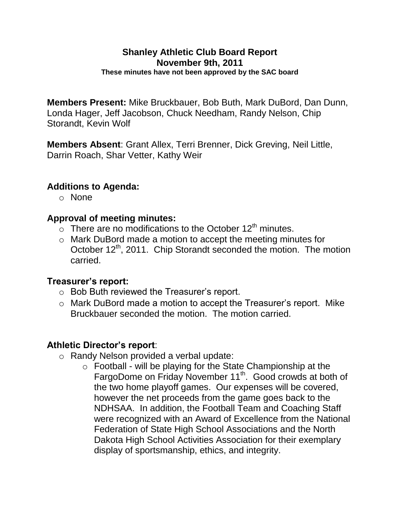#### **Shanley Athletic Club Board Report November 9th, 2011 These minutes have not been approved by the SAC board**

**Members Present:** Mike Bruckbauer, Bob Buth, Mark DuBord, Dan Dunn, Londa Hager, Jeff Jacobson, Chuck Needham, Randy Nelson, Chip Storandt, Kevin Wolf

**Members Absent**: Grant Allex, Terri Brenner, Dick Greving, Neil Little, Darrin Roach, Shar Vetter, Kathy Weir

# **Additions to Agenda:**

o None

# **Approval of meeting minutes:**

- $\circ$  There are no modifications to the October 12<sup>th</sup> minutes.
- o Mark DuBord made a motion to accept the meeting minutes for October 12<sup>th</sup>, 2011. Chip Storandt seconded the motion. The motion carried.

### **Treasurer's report:**

- o Bob Buth reviewed the Treasurer's report.
- o Mark DuBord made a motion to accept the Treasurer's report. Mike Bruckbauer seconded the motion. The motion carried.

### **Athletic Director's report**:

- o Randy Nelson provided a verbal update:
	- $\circ$  Football will be playing for the State Championship at the FargoDome on Friday November 11<sup>th</sup>. Good crowds at both of the two home playoff games. Our expenses will be covered, however the net proceeds from the game goes back to the NDHSAA. In addition, the Football Team and Coaching Staff were recognized with an Award of Excellence from the National Federation of State High School Associations and the North Dakota High School Activities Association for their exemplary display of sportsmanship, ethics, and integrity.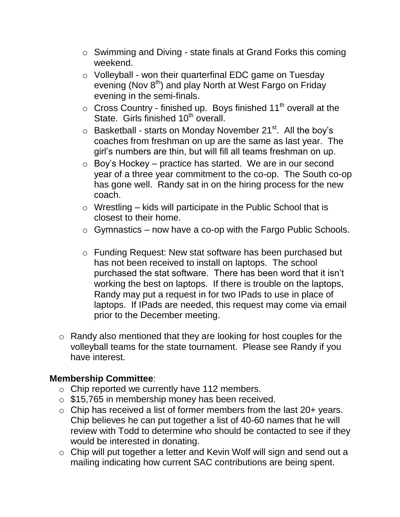- o Swimming and Diving state finals at Grand Forks this coming weekend.
- o Volleyball won their quarterfinal EDC game on Tuesday evening (Nov 8<sup>th</sup>) and play North at West Fargo on Friday evening in the semi-finals.
- $\circ$  Cross Country finished up. Boys finished 11<sup>th</sup> overall at the State. Girls finished 10<sup>th</sup> overall.
- $\circ$  Basketball starts on Monday November 21<sup>st</sup>. All the boy's coaches from freshman on up are the same as last year. The girl's numbers are thin, but will fill all teams freshman on up.
- $\circ$  Boy's Hockey practice has started. We are in our second year of a three year commitment to the co-op. The South co-op has gone well. Randy sat in on the hiring process for the new coach.
- $\circ$  Wrestling kids will participate in the Public School that is closest to their home.
- $\circ$  Gymnastics now have a co-op with the Fargo Public Schools.
- o Funding Request: New stat software has been purchased but has not been received to install on laptops. The school purchased the stat software. There has been word that it isn't working the best on laptops. If there is trouble on the laptops, Randy may put a request in for two IPads to use in place of laptops. If IPads are needed, this request may come via email prior to the December meeting.
- o Randy also mentioned that they are looking for host couples for the volleyball teams for the state tournament. Please see Randy if you have interest.

### **Membership Committee**:

- o Chip reported we currently have 112 members.
- o \$15,765 in membership money has been received.
- $\circ$  Chip has received a list of former members from the last 20+ years. Chip believes he can put together a list of 40-60 names that he will review with Todd to determine who should be contacted to see if they would be interested in donating.
- o Chip will put together a letter and Kevin Wolf will sign and send out a mailing indicating how current SAC contributions are being spent.